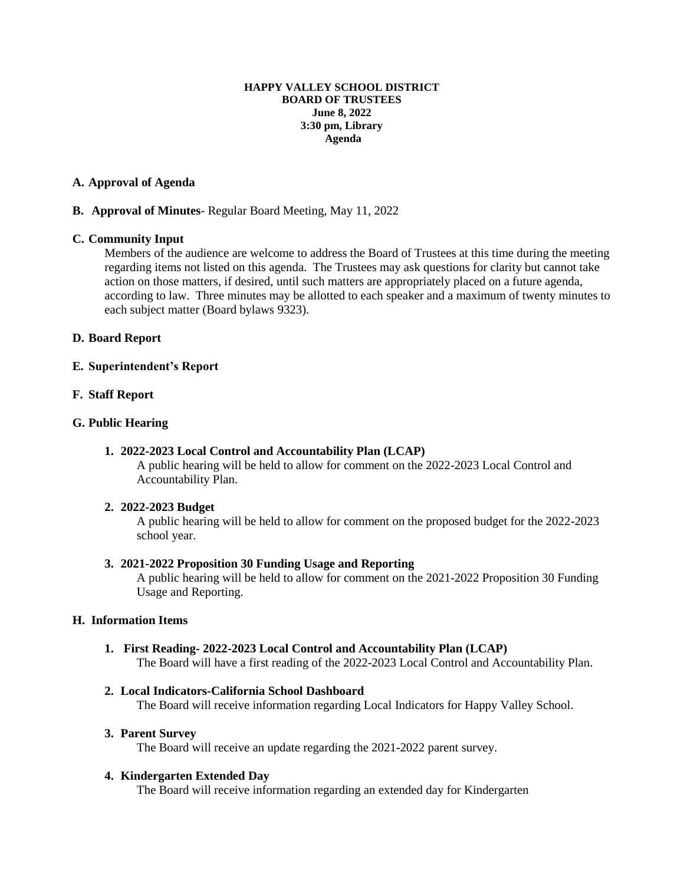#### **HAPPY VALLEY SCHOOL DISTRICT BOARD OF TRUSTEES June 8, 2022 3:30 pm, Library Agenda**

# **A. Approval of Agenda**

# **B. Approval of Minutes**- Regular Board Meeting, May 11, 2022

# **C. Community Input**

Members of the audience are welcome to address the Board of Trustees at this time during the meeting regarding items not listed on this agenda. The Trustees may ask questions for clarity but cannot take action on those matters, if desired, until such matters are appropriately placed on a future agenda, according to law. Three minutes may be allotted to each speaker and a maximum of twenty minutes to each subject matter (Board bylaws 9323).

# **D. Board Report**

# **E. Superintendent's Report**

# **F. Staff Report**

# **G. Public Hearing**

# **1. 2022-2023 Local Control and Accountability Plan (LCAP)**

A public hearing will be held to allow for comment on the 2022-2023 Local Control and Accountability Plan.

#### **2. 2022-2023 Budget**

A public hearing will be held to allow for comment on the proposed budget for the 2022-2023 school year.

#### **3. 2021-2022 Proposition 30 Funding Usage and Reporting**

A public hearing will be held to allow for comment on the 2021-2022 Proposition 30 Funding Usage and Reporting.

# **H. Information Items**

**1. First Reading- 2022-2023 Local Control and Accountability Plan (LCAP)** The Board will have a first reading of the 2022-2023 Local Control and Accountability Plan.

### **2. Local Indicators-California School Dashboard**

The Board will receive information regarding Local Indicators for Happy Valley School.

#### **3. Parent Survey**

The Board will receive an update regarding the 2021-2022 parent survey.

#### **4. Kindergarten Extended Day**

The Board will receive information regarding an extended day for Kindergarten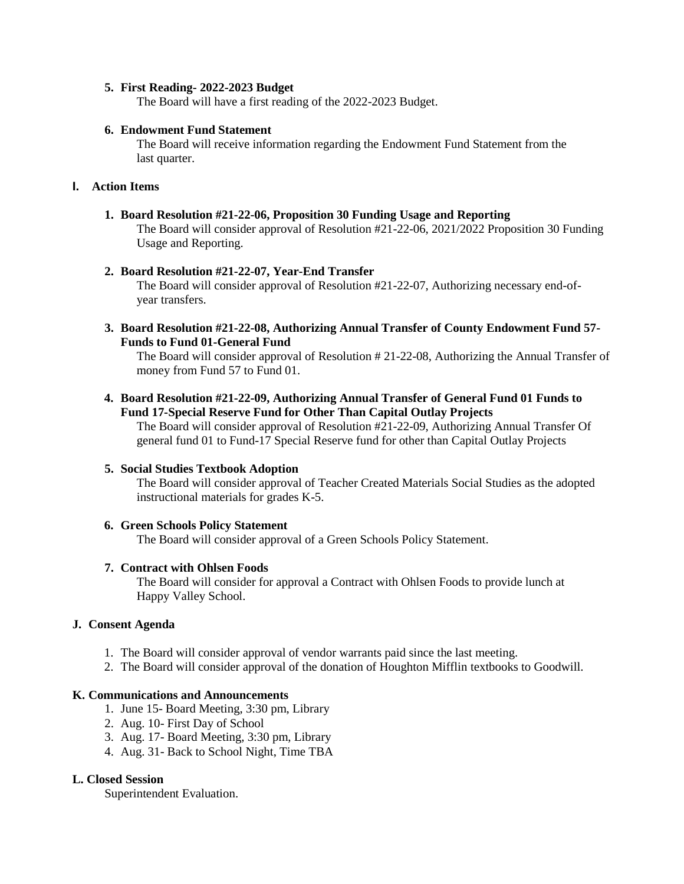# **5. First Reading- 2022-2023 Budget**

The Board will have a first reading of the 2022-2023 Budget.

# **6. Endowment Fund Statement**

The Board will receive information regarding the Endowment Fund Statement from the last quarter.

# **I. Action Items**

# **1. Board Resolution #21-22-06, Proposition 30 Funding Usage and Reporting**

The Board will consider approval of Resolution #21-22-06, 2021/2022 Proposition 30 Funding Usage and Reporting.

# **2. Board Resolution #21-22-07, Year-End Transfer**

The Board will consider approval of Resolution #21-22-07, Authorizing necessary end-ofyear transfers.

**3. Board Resolution #21-22-08, Authorizing Annual Transfer of County Endowment Fund 57- Funds to Fund 01-General Fund**

The Board will consider approval of Resolution # 21-22-08, Authorizing the Annual Transfer of money from Fund 57 to Fund 01.

**4. Board Resolution #21-22-09, Authorizing Annual Transfer of General Fund 01 Funds to Fund 17-Special Reserve Fund for Other Than Capital Outlay Projects**

The Board will consider approval of Resolution #21-22-09, Authorizing Annual Transfer Of general fund 01 to Fund-17 Special Reserve fund for other than Capital Outlay Projects

#### **5. Social Studies Textbook Adoption**

The Board will consider approval of Teacher Created Materials Social Studies as the adopted instructional materials for grades K-5.

#### **6. Green Schools Policy Statement**

The Board will consider approval of a Green Schools Policy Statement.

#### **7. Contract with Ohlsen Foods**

The Board will consider for approval a Contract with Ohlsen Foods to provide lunch at Happy Valley School.

# **J. Consent Agenda**

- 1. The Board will consider approval of vendor warrants paid since the last meeting.
- 2. The Board will consider approval of the donation of Houghton Mifflin textbooks to Goodwill.

# **K. Communications and Announcements**

- 1. June 15- Board Meeting, 3:30 pm, Library
- 2. Aug. 10- First Day of School
- 3. Aug. 17- Board Meeting, 3:30 pm, Library
- 4. Aug. 31- Back to School Night, Time TBA

# **L. Closed Session**

Superintendent Evaluation.